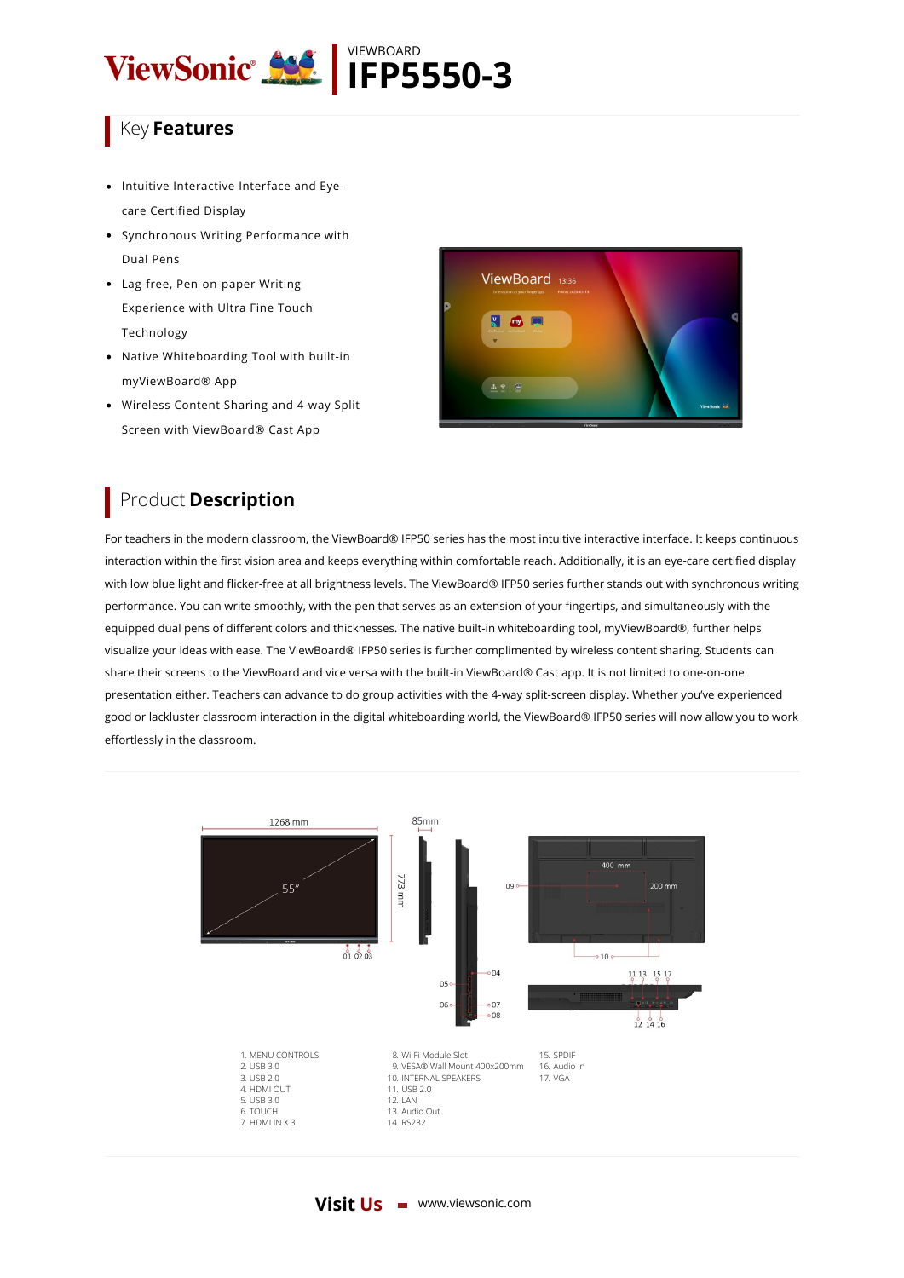

## Key **Features**

- Intuitive Interactive Interface and Eyecare Certified Display
- Synchronous Writing Performance with Dual Pens
- Lag-free, Pen-on-paper Writing Experience with Ultra Fine Touch Technology
- Native Whiteboarding Tool with built-in myViewBoard® App
- Wireless Content Sharing and 4-way Split Screen with ViewBoard® Cast App



## Product **Description**

For teachers in the modern classroom, the ViewBoard® IFP50 series has the most intuitive interactive interface. It keeps continuous interaction within the first vision area and keeps everything within comfortable reach. Additionally, it is an eye-care certified display with low blue light and flicker-free at all brightness levels. The ViewBoard® IFP50 series further stands out with synchronous writing performance. You can write smoothly, with the pen that serves as an extension of your fingertips, and simultaneously with the equipped dual pens of different colors and thicknesses. The native built-in whiteboarding tool, myViewBoard®, further helps visualize your ideas with ease. The ViewBoard® IFP50 series is further complimented by wireless content sharing. Students can share their screens to the ViewBoard and vice versa with the built-in ViewBoard® Cast app. It is not limited to one-on-one presentation either. Teachers can advance to do group activities with the 4-way split-screen display. Whether you've experienced good or lackluster classroom interaction in the digital whiteboarding world, the ViewBoard® IFP50 series will now allow you to work effortlessly in the classroom.



## **Visit Us** www.viewsonic.com